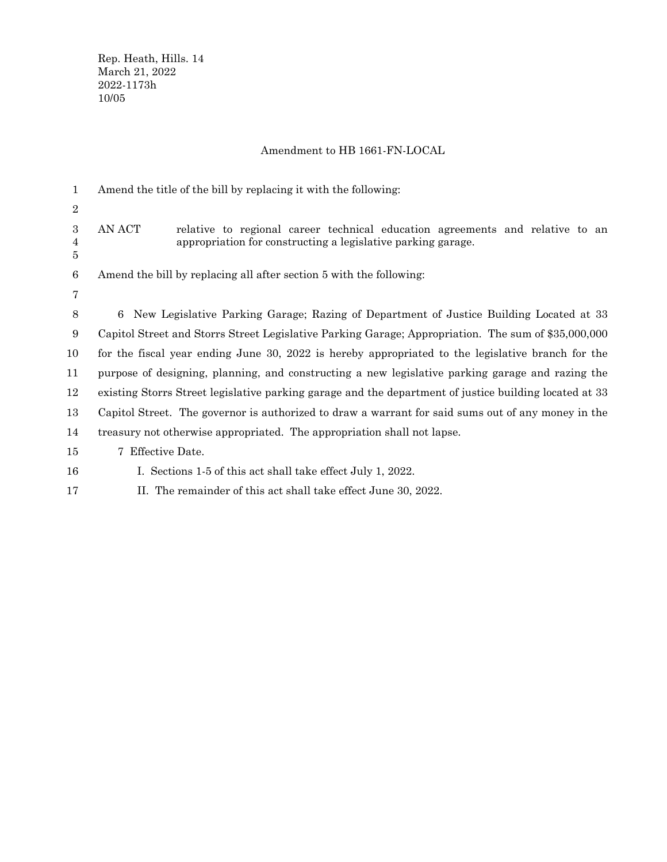## Amendment to HB 1661-FN-LOCAL

| 1                | Amend the title of the bill by replacing it with the following:                                                                                         |
|------------------|---------------------------------------------------------------------------------------------------------------------------------------------------------|
| $\boldsymbol{2}$ |                                                                                                                                                         |
| 3<br>4<br>5      | AN ACT<br>relative to regional career technical education agreements and relative to an<br>appropriation for constructing a legislative parking garage. |
| 6                | Amend the bill by replacing all after section 5 with the following:                                                                                     |
| 7                |                                                                                                                                                         |
| 8                | New Legislative Parking Garage; Razing of Department of Justice Building Located at 33<br>6                                                             |
| 9                | Capitol Street and Storrs Street Legislative Parking Garage; Appropriation. The sum of \$35,000,000                                                     |
| 10               | for the fiscal year ending June 30, 2022 is hereby appropriated to the legislative branch for the                                                       |
| 11               | purpose of designing, planning, and constructing a new legislative parking garage and razing the                                                        |
| 12               | existing Storrs Street legislative parking garage and the department of justice building located at 33                                                  |
| 13               | Capitol Street. The governor is authorized to draw a warrant for said sums out of any money in the                                                      |
| 14               | treasury not otherwise appropriated. The appropriation shall not lapse.                                                                                 |
| 15               | 7 Effective Date.                                                                                                                                       |
| 16               | I. Sections 1-5 of this act shall take effect July 1, 2022.                                                                                             |
| 17               | II. The remainder of this act shall take effect June 30, 2022.                                                                                          |